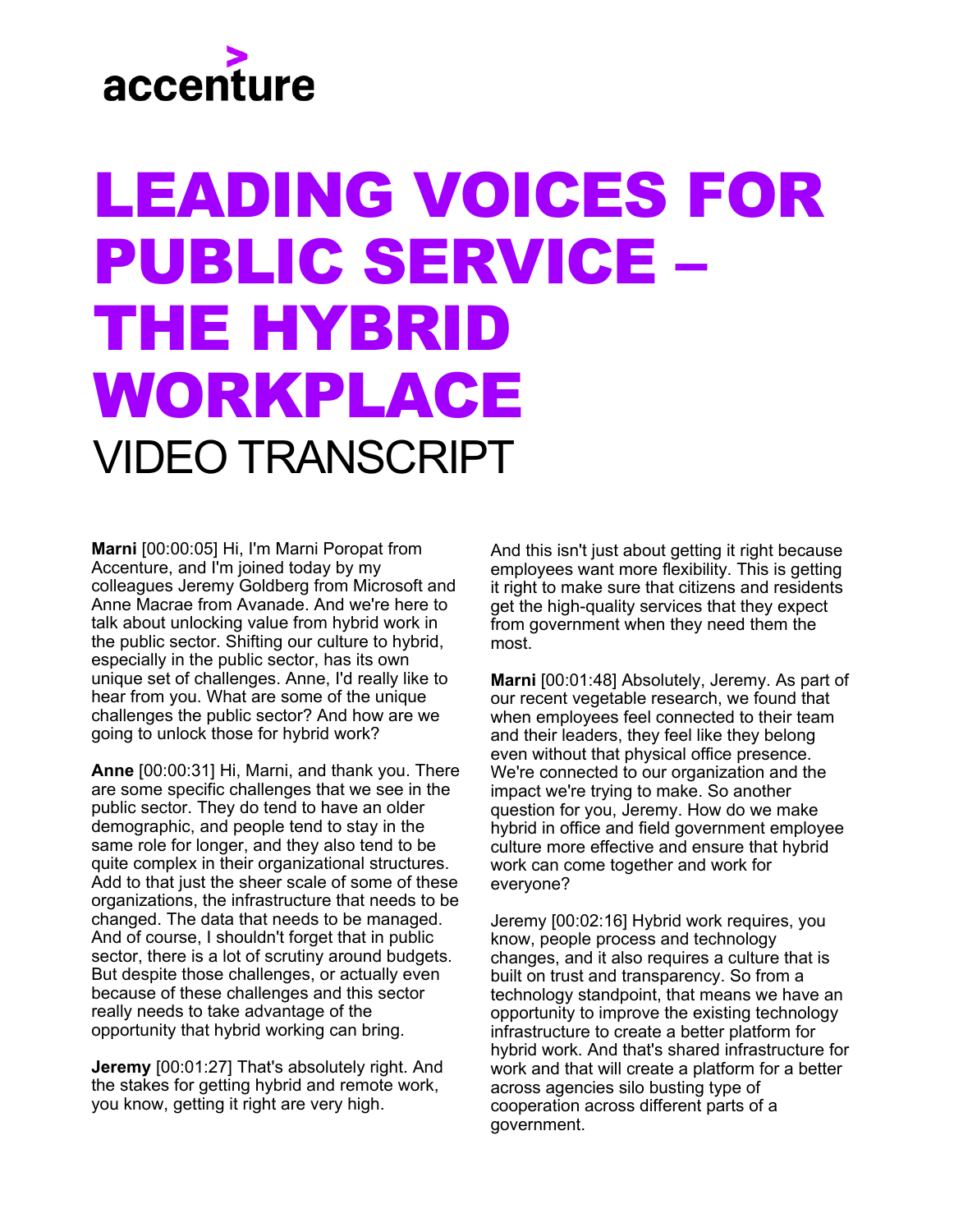## accenture

## LEADING VOICES FOR PUBLIC SERVICE – THE HYBRID WORKPLACE VIDEO TRANSCRIPT

**Marni** [00:00:05] Hi, I'm Marni Poropat from Accenture, and I'm joined today by my colleagues Jeremy Goldberg from Microsoft and Anne Macrae from Avanade. And we're here to talk about unlocking value from hybrid work in the public sector. Shifting our culture to hybrid, especially in the public sector, has its own unique set of challenges. Anne, I'd really like to hear from you. What are some of the unique challenges the public sector? And how are we going to unlock those for hybrid work?

**Anne** [00:00:31] Hi, Marni, and thank you. There are some specific challenges that we see in the public sector. They do tend to have an older demographic, and people tend to stay in the same role for longer, and they also tend to be quite complex in their organizational structures. Add to that just the sheer scale of some of these organizations, the infrastructure that needs to be changed. The data that needs to be managed. And of course, I shouldn't forget that in public sector, there is a lot of scrutiny around budgets. But despite those challenges, or actually even because of these challenges and this sector really needs to take advantage of the opportunity that hybrid working can bring.

**Jeremy** [00:01:27] That's absolutely right. And the stakes for getting hybrid and remote work, you know, getting it right are very high.

And this isn't just about getting it right because employees want more flexibility. This is getting it right to make sure that citizens and residents get the high-quality services that they expect from government when they need them the most.

**Marni** [00:01:48] Absolutely, Jeremy. As part of our recent vegetable research, we found that when employees feel connected to their team and their leaders, they feel like they belong even without that physical office presence. We're connected to our organization and the impact we're trying to make. So another question for you, Jeremy. How do we make hybrid in office and field government employee culture more effective and ensure that hybrid work can come together and work for everyone?

Jeremy [00:02:16] Hybrid work requires, you know, people process and technology changes, and it also requires a culture that is built on trust and transparency. So from a technology standpoint, that means we have an opportunity to improve the existing technology infrastructure to create a better platform for hybrid work. And that's shared infrastructure for work and that will create a platform for a better across agencies silo busting type of cooperation across different parts of a government.